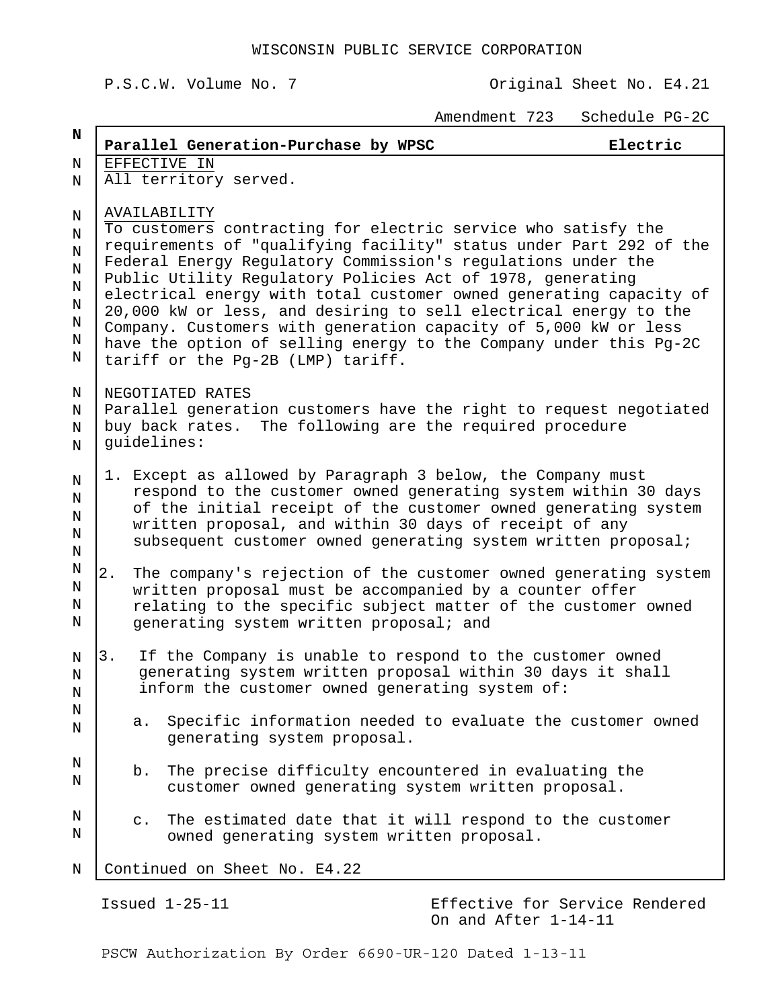## P.S.C.W. Volume No. 7 Channel Construction Criginal Sheet No. E4.21

Amendment 723 Schedule PG-2C

| N                                                     |                                                                                                                                                                                                                                                                                                                                                                                                                                                                                                                                                                                                          |                                                                                                                                                                                                                                                                                                                         | Parallel Generation-Purchase by WPSC                                                                                                                                       | Electric |  |  |
|-------------------------------------------------------|----------------------------------------------------------------------------------------------------------------------------------------------------------------------------------------------------------------------------------------------------------------------------------------------------------------------------------------------------------------------------------------------------------------------------------------------------------------------------------------------------------------------------------------------------------------------------------------------------------|-------------------------------------------------------------------------------------------------------------------------------------------------------------------------------------------------------------------------------------------------------------------------------------------------------------------------|----------------------------------------------------------------------------------------------------------------------------------------------------------------------------|----------|--|--|
| N                                                     | EFFECTIVE IN                                                                                                                                                                                                                                                                                                                                                                                                                                                                                                                                                                                             |                                                                                                                                                                                                                                                                                                                         |                                                                                                                                                                            |          |  |  |
| Ν                                                     |                                                                                                                                                                                                                                                                                                                                                                                                                                                                                                                                                                                                          |                                                                                                                                                                                                                                                                                                                         | All territory served.                                                                                                                                                      |          |  |  |
| Ν<br>N<br>$\rm N$<br>$\rm N$<br>Ν<br>Ν<br>N<br>Ν<br>Ν | AVAILABILITY<br>To customers contracting for electric service who satisfy the<br>requirements of "qualifying facility" status under Part 292 of the<br>Federal Energy Regulatory Commission's regulations under the<br>Public Utility Regulatory Policies Act of 1978, generating<br>electrical energy with total customer owned generating capacity of<br>20,000 kW or less, and desiring to sell electrical energy to the<br>Company. Customers with generation capacity of 5,000 kW or less<br>have the option of selling energy to the Company under this Pg-2C<br>tariff or the Pg-2B (LMP) tariff. |                                                                                                                                                                                                                                                                                                                         |                                                                                                                                                                            |          |  |  |
| Ν<br>N<br>Ν<br>N                                      | NEGOTIATED RATES<br>Parallel generation customers have the right to request negotiated<br>The following are the required procedure<br>buy back rates.<br>quidelines:                                                                                                                                                                                                                                                                                                                                                                                                                                     |                                                                                                                                                                                                                                                                                                                         |                                                                                                                                                                            |          |  |  |
| N<br>N<br>Ν<br>N<br>$\rm N$                           | 1.                                                                                                                                                                                                                                                                                                                                                                                                                                                                                                                                                                                                       | Except as allowed by Paragraph 3 below, the Company must<br>respond to the customer owned generating system within 30 days<br>of the initial receipt of the customer owned generating system<br>written proposal, and within 30 days of receipt of any<br>subsequent customer owned generating system written proposal; |                                                                                                                                                                            |          |  |  |
| Ν<br>N<br>Ν<br>N                                      | $2$ .<br>The company's rejection of the customer owned generating system<br>written proposal must be accompanied by a counter offer<br>relating to the specific subject matter of the customer owned<br>generating system written proposal; and                                                                                                                                                                                                                                                                                                                                                          |                                                                                                                                                                                                                                                                                                                         |                                                                                                                                                                            |          |  |  |
| N<br>N<br>Ν<br>N<br>N                                 | 3.                                                                                                                                                                                                                                                                                                                                                                                                                                                                                                                                                                                                       |                                                                                                                                                                                                                                                                                                                         | If the Company is unable to respond to the customer owned<br>generating system written proposal within 30 days it shall<br>inform the customer owned generating system of: |          |  |  |
|                                                       |                                                                                                                                                                                                                                                                                                                                                                                                                                                                                                                                                                                                          | a.                                                                                                                                                                                                                                                                                                                      | Specific information needed to evaluate the customer owned<br>generating system proposal.                                                                                  |          |  |  |
| N<br>N                                                |                                                                                                                                                                                                                                                                                                                                                                                                                                                                                                                                                                                                          | b.                                                                                                                                                                                                                                                                                                                      | The precise difficulty encountered in evaluating the<br>customer owned generating system written proposal.                                                                 |          |  |  |
| N<br>N                                                |                                                                                                                                                                                                                                                                                                                                                                                                                                                                                                                                                                                                          | $\mathbb{C}$ .                                                                                                                                                                                                                                                                                                          | The estimated date that it will respond to the customer<br>owned generating system written proposal.                                                                       |          |  |  |
| N                                                     |                                                                                                                                                                                                                                                                                                                                                                                                                                                                                                                                                                                                          | Continued on Sheet No. E4.22                                                                                                                                                                                                                                                                                            |                                                                                                                                                                            |          |  |  |

Issued 1-25-11 Effective for Service Rendered On and After 1-14-11

PSCW Authorization By Order 6690-UR-120 Dated 1-13-11